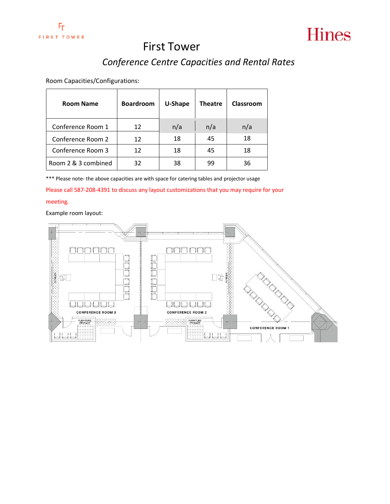

### *Conference Centre Capacities and Rental Rates*

Room Capacities/Configurations:

| <b>Room Name</b>    | <b>Boardroom</b> | U-Shape | <b>Theatre</b> | Classroom |
|---------------------|------------------|---------|----------------|-----------|
| Conference Room 1   | 12               | n/a     | n/a            | n/a       |
| Conference Room 2   | 12               | 18      | 45             | 18        |
| Conference Room 3   | 12               | 18      | 45             | 18        |
| Room 2 & 3 combined | 32               | 38      | 99             | 36        |

\*\*\* Please note- the above capacities are with space for catering tables and projector usage

Please call 587-208-4391 to discuss any layout customizations that you may require for your

#### meeting.

#### Example room layout:

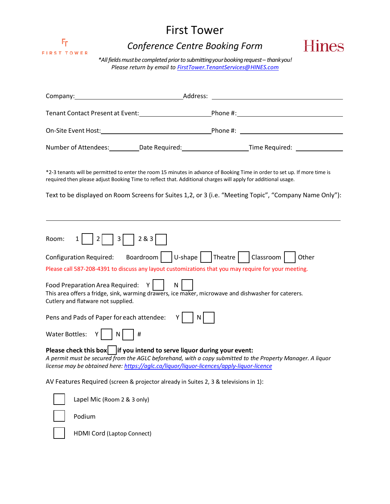

## *Conference Centre Booking Form*



*\*Allfieldsmustbecompleted priorto submittingyourbookingrequest – thankyou! Please return by email to [FirstTower.TenantServices@HINES.com](mailto:FirstTower.TenantServices@HINES.com)*

| Company: Company:                                                                                                                                                           | Address: |                                                                                                                            |
|-----------------------------------------------------------------------------------------------------------------------------------------------------------------------------|----------|----------------------------------------------------------------------------------------------------------------------------|
|                                                                                                                                                                             |          |                                                                                                                            |
|                                                                                                                                                                             |          |                                                                                                                            |
|                                                                                                                                                                             |          | Number of Attendees: __________Date Required: _________________________Time Required: ______________                       |
| required then please adjust Booking Time to reflect that. Additional charges will apply for additional usage.                                                               |          | *2-3 tenants will be permitted to enter the room 15 minutes in advance of Booking Time in order to set up. If more time is |
|                                                                                                                                                                             |          | Text to be displayed on Room Screens for Suites 1,2, or 3 (i.e. "Meeting Topic", "Company Name Only"):                     |
| $3   283  $<br>Room:<br>$\overline{2}$<br>Configuration Required: Boardroom   $ U\text{-shape} $   Theatre   $ Classroom $                                                  |          | Other<br>Please call 587-208-4391 to discuss any layout customizations that you may require for your meeting.              |
| Food Preparation Area Required: Y<br>Cutlery and flatware not supplied.                                                                                                     | N        | This area offers a fridge, sink, warming drawers, ice maker, microwave and dishwasher for caterers.                        |
| Pens and Pads of Paper for each attendee: $Y$                                                                                                                               | N        |                                                                                                                            |
| Y N<br>Water Bottles:                                                                                                                                                       |          |                                                                                                                            |
| Please check this box $\vert$ if you intend to serve liquor during your event:<br>license may be obtained here: https://aglc.ca/liquor/liquor-licences/apply-liquor-licence |          | A permit must be secured from the AGLC beforehand, with a copy submitted to the Property Manager. A liquor                 |
| AV Features Required (screen & projector already in Suites 2, 3 & televisions in 1):                                                                                        |          |                                                                                                                            |
| Lapel Mic (Room 2 & 3 only)                                                                                                                                                 |          |                                                                                                                            |

Podium

HDMI Cord (Laptop Connect)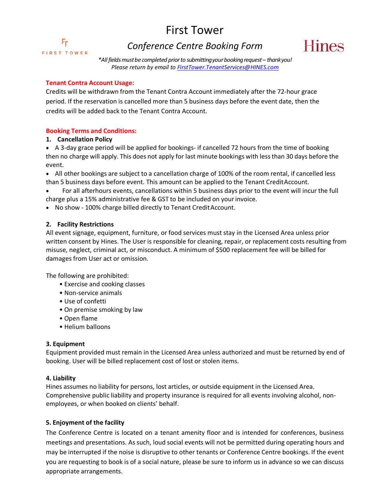Fг **FIRST TOWER** 

### *Conference Centre Booking Form*



*\*Allfieldsmustbecompleted priorto submittingyourbookingrequest – thankyou! Please return by email to [FirstTower.TenantServices@HINES.com](mailto:FirstTower.TenantServices@HINES.com)*

### **Tenant Contra Account Usage:**

Credits will be withdrawn from the Tenant Contra Account immediately after the 72-hour grace period. If the reservation is cancelled more than 5 business days before the event date, then the credits will be added back to the Tenant Contra Account.

### **Booking Terms and Conditions:**

### **1. Cancellation Policy**

• A 3-day grace period will be applied for bookings- if cancelled 72 hours from the time of booking then no charge will apply. This does not apply for last minute bookings with less than 30 days before the event.

• All other bookings are subject to a cancellation charge of 100% of the room rental, if cancelled less than 5 business days before event. This amount can be applied to the Tenant CreditAccount.

- For all afterhours events, cancellations within 5 business days prior to the event will incur the full charge plus a 15% administrative fee & GST to be included on yourinvoice.
- No show 100% charge billed directly to Tenant CreditAccount.

### **2. Facility Restrictions**

All event signage, equipment, furniture, or food services must stay in the Licensed Area unless prior written consent by Hines. The User is responsible for cleaning, repair, or replacement costs resulting from misuse, neglect, criminal act, or misconduct. A minimum of \$500 replacement fee will be billed for damages from User act or omission.

The following are prohibited:

- Exercise and cooking classes
- Non-service animals
- Use of confetti
- On premise smoking by law
- Open flame
- Helium balloons

#### **3. Equipment**

Equipment provided must remain in the Licensed Area unless authorized and must be returned by end of booking. User will be billed replacement cost of lost or stolen items.

#### **4. Liability**

Hines assumes no liability for persons, lost articles, or outside equipment in the Licensed Area. Comprehensive public liability and property insurance is required for all events involving alcohol, nonemployees, or when booked on clients' behalf.

### **5. Enjoyment of the facility**

The Conference Centre is located on a tenant amenity floor and is intended for conferences, business meetings and presentations. As such, loud social events will not be permitted during operating hours and may be interrupted if the noise is disruptive to other tenants or Conference Centre bookings. If the event you are requesting to book is of a social nature, please be sure to inform us in advance so we can discuss appropriate arrangements.